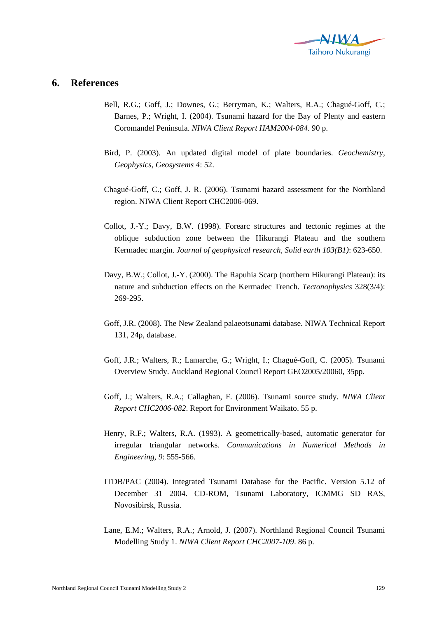

## **6. References**

- Bell, R.G.; Goff, J.; Downes, G.; Berryman, K.; Walters, R.A.; Chagué-Goff, C.; Barnes, P.; Wright, I. (2004). Tsunami hazard for the Bay of Plenty and eastern Coromandel Peninsula. *NIWA Client Report HAM2004-084*. 90 p.
- Bird, P. (2003). An updated digital model of plate boundaries. *Geochemistry, Geophysics, Geosystems 4*: 52.
- Chagué-Goff, C.; Goff, J. R. (2006). Tsunami hazard assessment for the Northland region. NIWA Client Report CHC2006-069.
- Collot, J.-Y.; Davy, B.W. (1998). Forearc structures and tectonic regimes at the oblique subduction zone between the Hikurangi Plateau and the southern Kermadec margin. *Journal of geophysical research, Solid earth 103(B1)*: 623-650.
- Davy, B.W.; Collot, J.-Y. (2000). The Rapuhia Scarp (northern Hikurangi Plateau): its nature and subduction effects on the Kermadec Trench. *Tectonophysics* 328(3/4): 269-295.
- Goff, J.R. (2008). The New Zealand palaeotsunami database. NIWA Technical Report 131, 24p, database.
- Goff, J.R.; Walters, R.; Lamarche, G.; Wright, I.; Chagué-Goff, C. (2005). Tsunami Overview Study. Auckland Regional Council Report GEO2005/20060, 35pp.
- Goff, J.; Walters, R.A.; Callaghan, F. (2006). Tsunami source study. *NIWA Client Report CHC2006-082*. Report for Environment Waikato. 55 p.
- Henry, R.F.; Walters, R.A. (1993). A geometrically-based, automatic generator for irregular triangular networks. *Communications in Numerical Methods in Engineering, 9*: 555-566.
- ITDB/PAC (2004). Integrated Tsunami Database for the Pacific. Version 5.12 of December 31 2004. CD-ROM, Tsunami Laboratory, ICMMG SD RAS, Novosibirsk, Russia.
- Lane, E.M.; Walters, R.A.; Arnold, J. (2007). Northland Regional Council Tsunami Modelling Study 1. *NIWA Client Report CHC2007-109*. 86 p.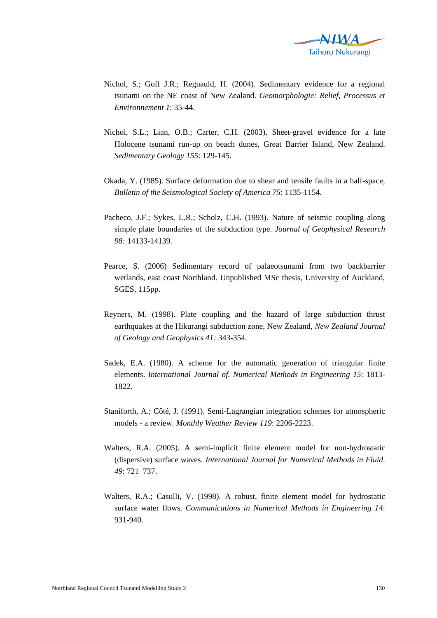

- Nichol, S.; Goff J.R.; Regnauld, H. (2004). Sedimentary evidence for a regional tsunami on the NE coast of New Zealand. *Geomorphologie: Relief, Processus et Environnement 1*: 35-44.
- Nichol, S.L.; Lian, O.B.; Carter, C.H. (2003). Sheet-gravel evidence for a late Holocene tsunami run-up on beach dunes, Great Barrier Island, New Zealand. *Sedimentary Geology 155*: 129-145.
- Okada, Y. (1985). Surface deformation due to shear and tensile faults in a half-space, *Bulletin of the Seismological Society of America 75*: 1135-1154.
- Pacheco, J.F.; Sykes, L.R.; Scholz, C.H. (1993). Nature of seismic coupling along simple plate boundaries of the subduction type. *Journal of Geophysical Research 98:* 14133-14139.
- Pearce, S. (2006) Sedimentary record of palaeotsunami from two backbarrier wetlands, east coast Northland. Unpublished MSc thesis, University of Auckland, SGES, 115pp.
- Reyners, M. (1998). Plate coupling and the hazard of large subduction thrust earthquakes at the Hikurangi subduction zone, New Zealand, *New Zealand Journal of Geology and Geophysics 41:* 343-354.
- Sadek, E.A. (1980). A scheme for the automatic generation of triangular finite elements. *International Journal of. Numerical Methods in Engineering 15*: 1813- 1822.
- Staniforth, A.; Côté, J. (1991). Semi-Lagrangian integration schemes for atmospheric models - a review. *Monthly Weather Review 119*: 2206-2223.
- Walters, R.A. (2005). A semi-implicit finite element model for non-hydrostatic (dispersive) surface waves. *International Journal for Numerical Methods in Fluid*. *49*: 721–737.
- Walters, R.A.; Casulli, V. (1998). A robust, finite element model for hydrostatic surface water flows. *Communications in Numerical Methods in Engineering 14*: 931-940.